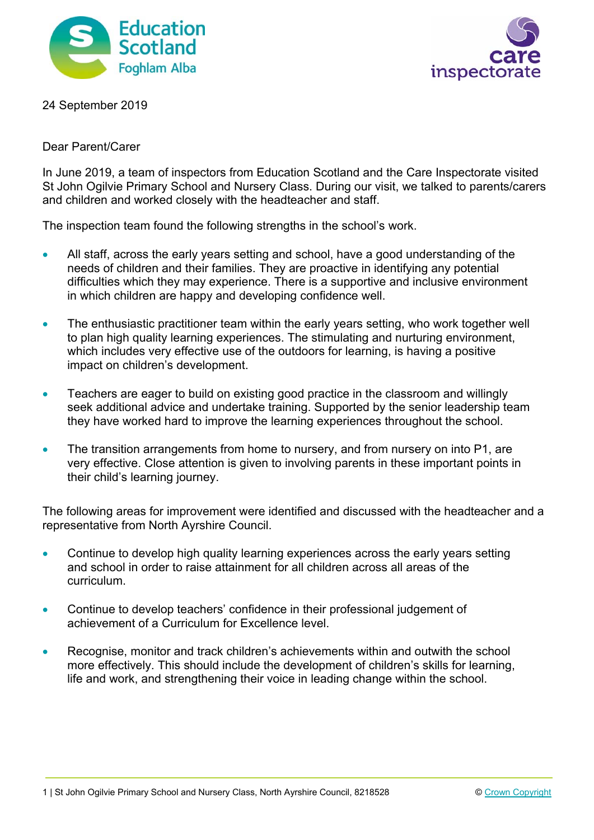



24 September 2019

## Dear Parent/Carer

In June 2019, a team of inspectors from Education Scotland and the Care Inspectorate visited St John Ogilvie Primary School and Nursery Class. During our visit, we talked to parents/carers and children and worked closely with the headteacher and staff.

The inspection team found the following strengths in the school's work.

- All staff, across the early years setting and school, have a good understanding of the needs of children and their families. They are proactive in identifying any potential difficulties which they may experience. There is a supportive and inclusive environment in which children are happy and developing confidence well.
- The enthusiastic practitioner team within the early years setting, who work together well to plan high quality learning experiences. The stimulating and nurturing environment, which includes very effective use of the outdoors for learning, is having a positive impact on children's development.
- Teachers are eager to build on existing good practice in the classroom and willingly seek additional advice and undertake training. Supported by the senior leadership team they have worked hard to improve the learning experiences throughout the school.
- The transition arrangements from home to nursery, and from nursery on into P1, are very effective. Close attention is given to involving parents in these important points in their child's learning journey.

The following areas for improvement were identified and discussed with the headteacher and a representative from North Ayrshire Council.

- Continue to develop high quality learning experiences across the early years setting and school in order to raise attainment for all children across all areas of the curriculum.
- Continue to develop teachers' confidence in their professional judgement of achievement of a Curriculum for Excellence level.
- Recognise, monitor and track children's achievements within and outwith the school more effectively. This should include the development of children's skills for learning, life and work, and strengthening their voice in leading change within the school.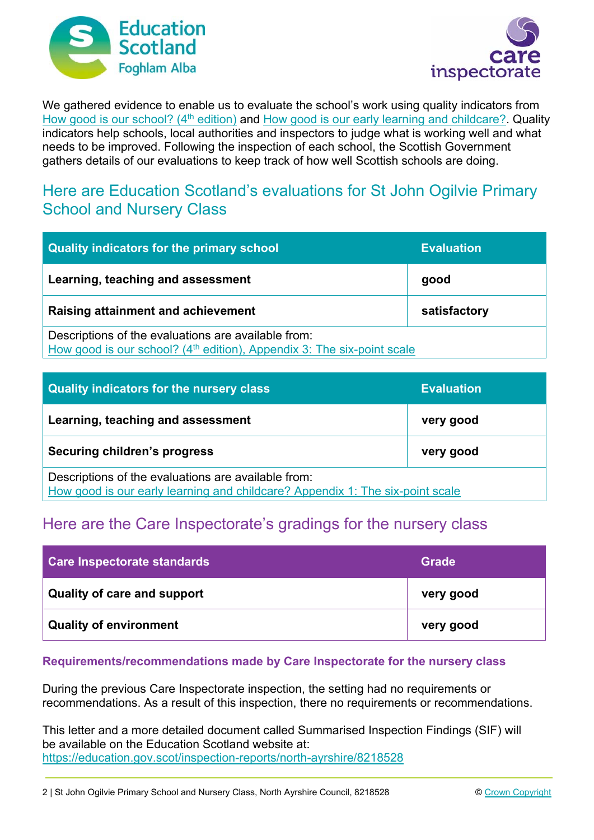



We gathered evidence to enable us to evaluate the school's work using quality indicators from How good is our school? (4<sup>th</sup> edition) and How good is our early learning and childcare? Quality indicators help schools, local authorities and inspectors to judge what is working well and what needs to be improved. Following the inspection of each school, the Scottish Government gathers details of our evaluations to keep track of how well Scottish schools are doing.

## Here are Education Scotland's evaluations for St John Ogilvie Primary School and Nursery Class

| Quality indicators for the primary school                                                                                                 | <b>Evaluation</b> |
|-------------------------------------------------------------------------------------------------------------------------------------------|-------------------|
| Learning, teaching and assessment                                                                                                         | good              |
| <b>Raising attainment and achievement</b>                                                                                                 | satisfactory      |
| Descriptions of the evaluations are available from:<br>How good is our school? (4 <sup>th</sup> edition), Appendix 3: The six-point scale |                   |

| <b>Quality indicators for the nursery class</b>                                                                                      | <b>Evaluation</b> |
|--------------------------------------------------------------------------------------------------------------------------------------|-------------------|
| Learning, teaching and assessment                                                                                                    | very good         |
| Securing children's progress                                                                                                         | very good         |
| Descriptions of the evaluations are available from:<br>How good is our early learning and childcare? Appendix 1: The six-point scale |                   |

## Here are the Care Inspectorate's gradings for the nursery class

| Care Inspectorate standards        | <b>Grade</b> |
|------------------------------------|--------------|
| <b>Quality of care and support</b> | very good    |
| Quality of environment             | very good    |

## **Requirements/recommendations made by Care Inspectorate for the nursery class**

During the previous Care Inspectorate inspection, the setting had no requirements or recommendations. As a result of this inspection, there no requirements or recommendations.

This letter and a more detailed document called Summarised Inspection Findings (SIF) will be available on the Education Scotland website at: https://education.gov.scot/inspection-reports/north-ayrshire/8218528